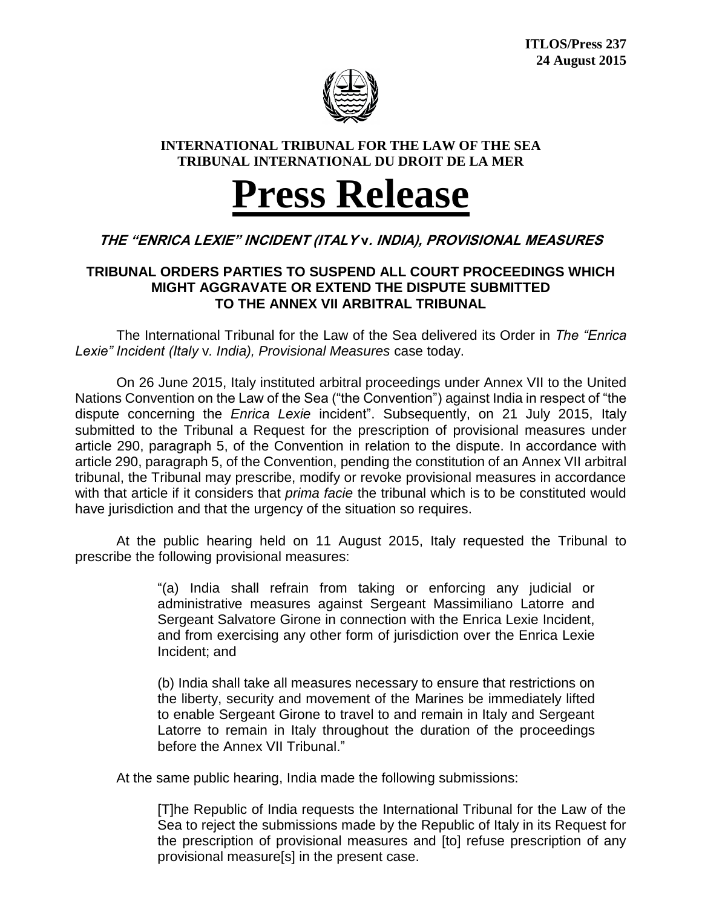

## **INTERNATIONAL TRIBUNAL FOR THE LAW OF THE SEA TRIBUNAL INTERNATIONAL DU DROIT DE LA MER**

## **Press Release**

## **THE "ENRICA LEXIE" INCIDENT (ITALY v. INDIA), PROVISIONAL MEASURES**

## **TRIBUNAL ORDERS PARTIES TO SUSPEND ALL COURT PROCEEDINGS WHICH MIGHT AGGRAVATE OR EXTEND THE DISPUTE SUBMITTED TO THE ANNEX VII ARBITRAL TRIBUNAL**

The International Tribunal for the Law of the Sea delivered its Order in *The "Enrica Lexie" Incident (Italy* v*. India), Provisional Measures* case today.

On 26 June 2015, Italy instituted arbitral proceedings under Annex VII to the United Nations Convention on the Law of the Sea ("the Convention") against India in respect of "the dispute concerning the *Enrica Lexie* incident". Subsequently, on 21 July 2015, Italy submitted to the Tribunal a Request for the prescription of provisional measures under article 290, paragraph 5, of the Convention in relation to the dispute. In accordance with article 290, paragraph 5, of the Convention, pending the constitution of an Annex VII arbitral tribunal, the Tribunal may prescribe, modify or revoke provisional measures in accordance with that article if it considers that *prima facie* the tribunal which is to be constituted would have jurisdiction and that the urgency of the situation so requires.

At the public hearing held on 11 August 2015, Italy requested the Tribunal to prescribe the following provisional measures:

> "(a) India shall refrain from taking or enforcing any judicial or administrative measures against Sergeant Massimiliano Latorre and Sergeant Salvatore Girone in connection with the Enrica Lexie Incident, and from exercising any other form of jurisdiction over the Enrica Lexie Incident; and

> (b) India shall take all measures necessary to ensure that restrictions on the liberty, security and movement of the Marines be immediately lifted to enable Sergeant Girone to travel to and remain in Italy and Sergeant Latorre to remain in Italy throughout the duration of the proceedings before the Annex VII Tribunal."

At the same public hearing, India made the following submissions:

[T]he Republic of India requests the International Tribunal for the Law of the Sea to reject the submissions made by the Republic of Italy in its Request for the prescription of provisional measures and [to] refuse prescription of any provisional measure[s] in the present case.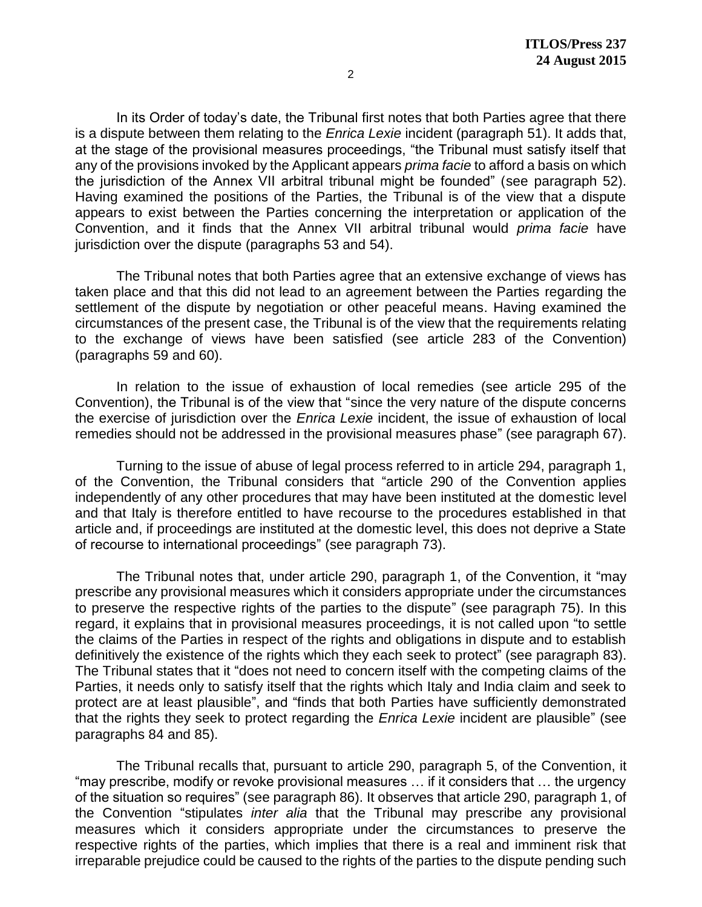In its Order of today's date, the Tribunal first notes that both Parties agree that there is a dispute between them relating to the *Enrica Lexie* incident (paragraph 51). It adds that, at the stage of the provisional measures proceedings, "the Tribunal must satisfy itself that any of the provisions invoked by the Applicant appears *prima facie* to afford a basis on which the jurisdiction of the Annex VII arbitral tribunal might be founded" (see paragraph 52). Having examined the positions of the Parties, the Tribunal is of the view that a dispute appears to exist between the Parties concerning the interpretation or application of the Convention, and it finds that the Annex VII arbitral tribunal would *prima facie* have jurisdiction over the dispute (paragraphs 53 and 54).

The Tribunal notes that both Parties agree that an extensive exchange of views has taken place and that this did not lead to an agreement between the Parties regarding the settlement of the dispute by negotiation or other peaceful means. Having examined the circumstances of the present case, the Tribunal is of the view that the requirements relating to the exchange of views have been satisfied (see article 283 of the Convention) (paragraphs 59 and 60).

In relation to the issue of exhaustion of local remedies (see article 295 of the Convention), the Tribunal is of the view that "since the very nature of the dispute concerns the exercise of jurisdiction over the *Enrica Lexie* incident, the issue of exhaustion of local remedies should not be addressed in the provisional measures phase" (see paragraph 67).

Turning to the issue of abuse of legal process referred to in article 294, paragraph 1, of the Convention, the Tribunal considers that "article 290 of the Convention applies independently of any other procedures that may have been instituted at the domestic level and that Italy is therefore entitled to have recourse to the procedures established in that article and, if proceedings are instituted at the domestic level, this does not deprive a State of recourse to international proceedings" (see paragraph 73).

The Tribunal notes that, under article 290, paragraph 1, of the Convention, it "may prescribe any provisional measures which it considers appropriate under the circumstances to preserve the respective rights of the parties to the dispute" (see paragraph 75). In this regard, it explains that in provisional measures proceedings, it is not called upon "to settle the claims of the Parties in respect of the rights and obligations in dispute and to establish definitively the existence of the rights which they each seek to protect" (see paragraph 83). The Tribunal states that it "does not need to concern itself with the competing claims of the Parties, it needs only to satisfy itself that the rights which Italy and India claim and seek to protect are at least plausible", and "finds that both Parties have sufficiently demonstrated that the rights they seek to protect regarding the *Enrica Lexie* incident are plausible" (see paragraphs 84 and 85).

The Tribunal recalls that, pursuant to article 290, paragraph 5, of the Convention, it "may prescribe, modify or revoke provisional measures … if it considers that … the urgency of the situation so requires" (see paragraph 86). It observes that article 290, paragraph 1, of the Convention "stipulates *inter alia* that the Tribunal may prescribe any provisional measures which it considers appropriate under the circumstances to preserve the respective rights of the parties, which implies that there is a real and imminent risk that irreparable prejudice could be caused to the rights of the parties to the dispute pending such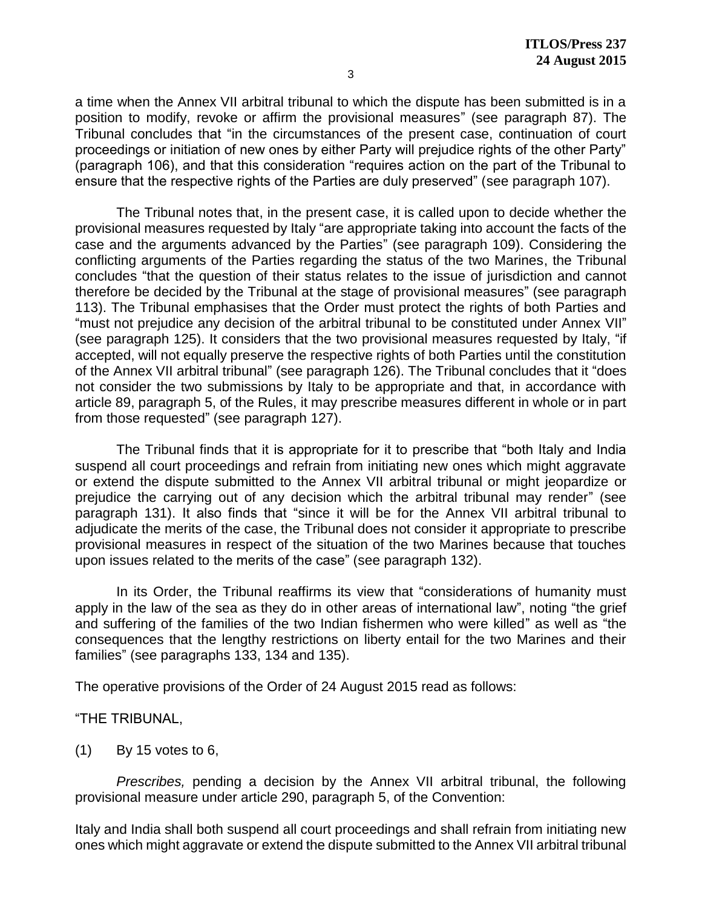a time when the Annex VII arbitral tribunal to which the dispute has been submitted is in a position to modify, revoke or affirm the provisional measures" (see paragraph 87). The Tribunal concludes that "in the circumstances of the present case, continuation of court proceedings or initiation of new ones by either Party will prejudice rights of the other Party" (paragraph 106), and that this consideration "requires action on the part of the Tribunal to ensure that the respective rights of the Parties are duly preserved" (see paragraph 107).

The Tribunal notes that, in the present case, it is called upon to decide whether the provisional measures requested by Italy "are appropriate taking into account the facts of the case and the arguments advanced by the Parties" (see paragraph 109). Considering the conflicting arguments of the Parties regarding the status of the two Marines, the Tribunal concludes "that the question of their status relates to the issue of jurisdiction and cannot therefore be decided by the Tribunal at the stage of provisional measures" (see paragraph 113). The Tribunal emphasises that the Order must protect the rights of both Parties and "must not prejudice any decision of the arbitral tribunal to be constituted under Annex VII" (see paragraph 125). It considers that the two provisional measures requested by Italy, "if accepted, will not equally preserve the respective rights of both Parties until the constitution of the Annex VII arbitral tribunal" (see paragraph 126). The Tribunal concludes that it "does not consider the two submissions by Italy to be appropriate and that, in accordance with article 89, paragraph 5, of the Rules, it may prescribe measures different in whole or in part from those requested" (see paragraph 127).

The Tribunal finds that it is appropriate for it to prescribe that "both Italy and India suspend all court proceedings and refrain from initiating new ones which might aggravate or extend the dispute submitted to the Annex VII arbitral tribunal or might jeopardize or prejudice the carrying out of any decision which the arbitral tribunal may render" (see paragraph 131). It also finds that "since it will be for the Annex VII arbitral tribunal to adjudicate the merits of the case, the Tribunal does not consider it appropriate to prescribe provisional measures in respect of the situation of the two Marines because that touches upon issues related to the merits of the case" (see paragraph 132).

In its Order, the Tribunal reaffirms its view that "considerations of humanity must apply in the law of the sea as they do in other areas of international law", noting "the grief and suffering of the families of the two Indian fishermen who were killed" as well as "the consequences that the lengthy restrictions on liberty entail for the two Marines and their families" (see paragraphs 133, 134 and 135).

The operative provisions of the Order of 24 August 2015 read as follows:

"THE TRIBUNAL,

(1) By 15 votes to 6,

*Prescribes,* pending a decision by the Annex VII arbitral tribunal, the following provisional measure under article 290, paragraph 5, of the Convention:

Italy and India shall both suspend all court proceedings and shall refrain from initiating new ones which might aggravate or extend the dispute submitted to the Annex VII arbitral tribunal